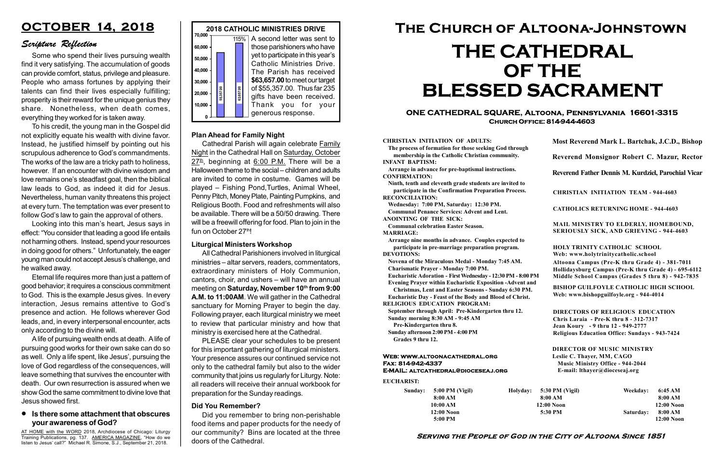#### Serving the People of God in the City of Altoona Since 1851

Sunday: 5:00 PM (Vigil) 8:00 AM 10:00 AM 12:00 Noon 5:00 PM

Holyday:

#### Web: www.altoonacathedral.org Fax: 814-942-4337 E-MAIL: altcathedral@dioceseaj.org

EUCHARIST:

#### CHRISTIAN INITIATION OF ADULTS:

The process of formation for those seeking God through membership in the Catholic Christian community. INFANT BAPTISM:

Arrange in advance for pre-baptismal instructions. CONFIRMATION:

Ninth, tenth and eleventh grade students are invited to participate in the Confirmation Preparation Process. RECONCILIATION:

Wednesday: 7:00 PM, Saturday: 12:30 PM. Communal Penance Services: Advent and Lent.

ANOINTING OF THE SICK:

Communal celebration Easter Season. MARRIAGE:

Arrange nine months in advance. Couples expected to participate in pre-marriage preparation program. DEVOTIONS:

Novena of the Miraculous Medal - Monday 7:45 AM.

Charismatic Prayer - Monday 7:00 PM. Eucharistic Adoration - First Wednesday - 12:30 PM - 8:00 PM

Evening Prayer within Eucharistic Exposition -Advent and

Christmas, Lent and Easter Seasons - Sunday 6:30 PM.

|                         | Most Reverend Mark L. Bartchak, J.C.D., Bishop<br>Reverend Monsignor Robert C. Mazur, Rector                                                                                    |           |                         |
|-------------------------|---------------------------------------------------------------------------------------------------------------------------------------------------------------------------------|-----------|-------------------------|
|                         |                                                                                                                                                                                 |           |                         |
|                         | Reverend Father Dennis M. Kurdziel, Parochial Vicar                                                                                                                             |           |                         |
|                         | <b>CHRISTIAN INITIATION TEAM - 944-4603</b>                                                                                                                                     |           |                         |
|                         | <b>CATHOLICS RETURNING HOME - 944-4603</b>                                                                                                                                      |           |                         |
|                         | MAIL MINISTRY TO ELDERLY, HOMEBOUND,<br><b>SERIOUSLY SICK, AND GRIEVING - 944-4603</b>                                                                                          |           |                         |
|                         | <b>HOLY TRINITY CATHOLIC SCHOOL</b><br>Web: www.holytrinitycatholic.school                                                                                                      |           |                         |
| М                       | Altoona Campus (Pre-K thru Grade 4) - 381-7011<br>Hollidaysburg Campus (Pre-K thru Grade 4) - 695-6112<br>Middle School Campus (Grades 5 thru 8) - 942-7835                     |           |                         |
| ł                       | <b>BISHOP GUILFOYLE CATHOLIC HIGH SCHOOL</b><br>Web: www.bishopguilfoyle.org - 944-4014                                                                                         |           |                         |
|                         | <b>DIRECTORS OF RELIGIOUS EDUCATION</b><br>Chris Laraia - Pre-K thru 8 - 312-7317<br>Jean Koury - 9 thru 12 - 949-2777<br><b>Religious Education Office: Sundays - 943-7424</b> |           |                         |
|                         | <b>DIRECTOR OF MUSIC MINISTRY</b><br>Leslie C. Thayer, MM, CAGO<br><b>Music Ministry Office - 944-2044</b><br>E-mail: lthayer@dioceseaj.org                                     |           |                         |
| 5:30 PM (Vigil)         |                                                                                                                                                                                 | Weekday:  | 6:45 AM                 |
| 8:00 AM<br>$12:00$ Noon |                                                                                                                                                                                 |           | 8:00 AM<br>12:00 Noon   |
|                         | 5:30 PM                                                                                                                                                                         | Saturday: | 8:00 AM<br>$12:00$ Noon |
|                         |                                                                                                                                                                                 |           |                         |

Eucharistic Day - Feast of the Body and Blood of Christ.

RELIGIOUS EDUCATION PROGRAM:

September through April: Pre-Kindergarten thru 12. Sunday morning 8:30 AM - 9:45 AM



Cathedral Parish will again celebrate Family Night in the Cathedral Hall on Saturday, October  $27^{\underline{\text{th}}}$ , beginning at 6:00 P.M. There will be a Halloween theme to the social – children and adults are invited to come in costume. Games will be played – Fishing Pond,Turtles, Animal Wheel, Penny Pitch, Money Plate, Painting Pumpkins, and Religious Booth. Food and refreshments will also be available. There will be a 50/50 drawing. There will be a freewill offering for food. Plan to join in the fun on October 27th!

Pre-Kindergarten thru 8.

Sunday afternoon 2:00 PM - 4:00 PM Grades 9 thru 12.

#### **In the some attachment that obscures** your awareness of God?

#### ONE CATHEDRAL SQUARE, Altoona, Pennsylvania 16601-3315 Church Office: 814-944-4603

# The Church of Altoona-Johnstown THE CATHEDRAL OF THE BLESSED SACRAMENT

AT HOME with the WORD 2018, Archdiocese of Chicago: Liturgy Training Publications, pg. 137. AMERICA MAGAZINE, "How do we listen to Jesus' call?" Michael R. Simone, S.J., September 21, 2018.

#### Plan Ahead for Family Night

## OCTOBER 14, 2018

### Scripture Reflection

Some who spend their lives pursuing wealth find it very satisfying. The accumulation of goods can provide comfort, status, privilege and pleasure. People who amass fortunes by applying their talents can find their lives especially fulfilling; prosperity is their reward for the unique genius they share. Nonetheless, when death comes, everything they worked for is taken away.

To his credit, the young man in the Gospel did not explicitly equate his wealth with divine favor. Instead, he justified himself by pointing out his scrupulous adherence to God's commandments. The works of the law are a tricky path to holiness, however. If an encounter with divine wisdom and love remains one's steadfast goal, then the biblical law leads to God, as indeed it did for Jesus. Nevertheless, human vanity threatens this project at every turn. The temptation was ever present to follow God's law to gain the approval of others.

Looking into this man's heart, Jesus says in effect: "You consider that leading a good life entails not harming others. Instead, spend your resources in doing good for others." Unfortunately, the eager young man could not accept Jesus's challenge, and he walked away.

Eternal life requires more than just a pattern of good behavior; it requires a conscious commitment to God. This is the example Jesus gives. In every interaction, Jesus remains attentive to God's presence and action. He follows wherever God leads, and, in every interpersonal encounter, acts only according to the divine will.

A life of pursuing wealth ends at death. A life of pursuing good works for their own sake can do so as well. Only a life spent, like Jesus', pursuing the love of God regardless of the consequences, will leave something that survives the encounter with death. Our own resurrection is assured when we show God the same commitment to divine love that Jesus showed first.

#### Liturgical Ministers Workshop

All Cathedral Parishioners involved in liturgical ministries – altar servers, readers, commentators, extraordinary ministers of Holy Communion, cantors, choir, and ushers – will have an annual meeting on Saturday, November 10<sup>th</sup> from 9:00 A.M. to 11:00AM. We will gather in the Cathedral sanctuary for Morning Prayer to begin the day. Following prayer, each liturgical ministry we meet to review that particular ministry and how that ministry is exercised here at the Cathedral.

PLEASE clear your schedules to be present for this important gathering of liturgical ministers. Your presence assures our continued service not only to the cathedral family but also to the wider community that joins us regularly for Liturgy. Note: all readers will receive their annual workbook for preparation for the Sunday readings.

#### Did You Remember?

Did you remember to bring non-perishable food items and paper products for the needy of our community? Bins are located at the three doors of the Cathedral.